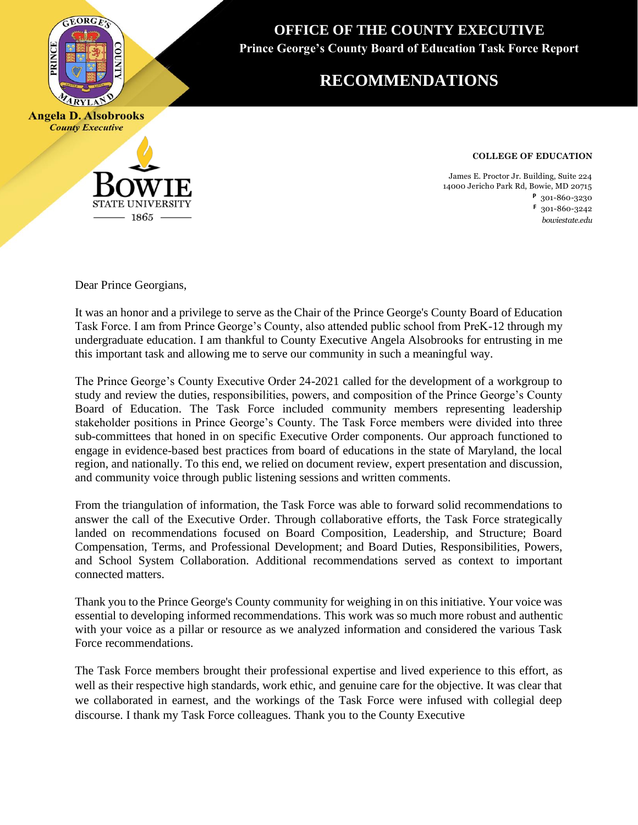

**County Executive** 

**OFFICE OF THE COUNTY EXECUTIVE Prince George's County Board of Education Task Force Report**

## **RECOMMENDATIONS**

**COLLEGE OF EDUCATION**

James E. Proctor Jr. Building, Suite 224 14000 Jericho Park Rd, Bowie, MD 20715 **P** 301-860-3230 **F** 301-860-3242 *bowiestate.edu*

Dear Prince Georgians,

**STATE UNIVERSITY** 1865

It was an honor and a privilege to serve as the Chair of the Prince George's County Board of Education Task Force. I am from Prince George's County, also attended public school from PreK-12 through my undergraduate education. I am thankful to County Executive Angela Alsobrooks for entrusting in me this important task and allowing me to serve our community in such a meaningful way. Dear Prince Georgians,

The Prince George's County Executive Order 24-2021 called for the development of a workgroup to study and review the duties, responsibilities, powers, and composition of the Prince George's County Board of Education. The Task Force included community members representing leadership stakeholder positions in Prince George's County. The Task Force members were divided into three sub-committees that honed in on specific Executive Order components. Our approach functioned to engage in evidence-based best practices from board of educations in the state of Maryland, the local region, and nationally. To this end, we relied on document review, expert presentation and discussion, and community voice through public listening sessions and written comments. 12 through my undergraduate education. I am thankful to County Executive Angela Alsobrooks Prince George's County Executive Order 24-2021 called for the development of a workgroup to

From the triangulation of information, the Task Force was able to forward solid recommendations to answer the call of the Executive Order. Through collaborative efforts, the Task Force strategically landed on recommendations focused on Board Composition, Leadership, and Structure; Board Compensation, Terms, and Professional Development; and Board Duties, Responsibilities, Powers, and School System Collaboration. Additional recommendations served as context to important connected matters. the call of the call of the Executive Order. The Executive Order. The Task Force order order or the Task Force  $\Gamma$ 

Thank you to the Prince George's County community for weighing in on this initiative. Your voice was essential to developing informed recommendations. This work was so much more robust and authentic with your voice as a pillar or resource as we analyzed information and considered the various Task Force recommendations.

The Task Force members brought their professional expertise and lived experience to this effort, as well as their respective high standards, work ethic, and genuine care for the objective. It was clear that we collaborated in earnest, and the workings of the Task Force were infused with collegial deep discourse. I thank my Task Force colleagues. Thank you to the County Executive The Task Force members brought their professional expertise and lived experience to this effort,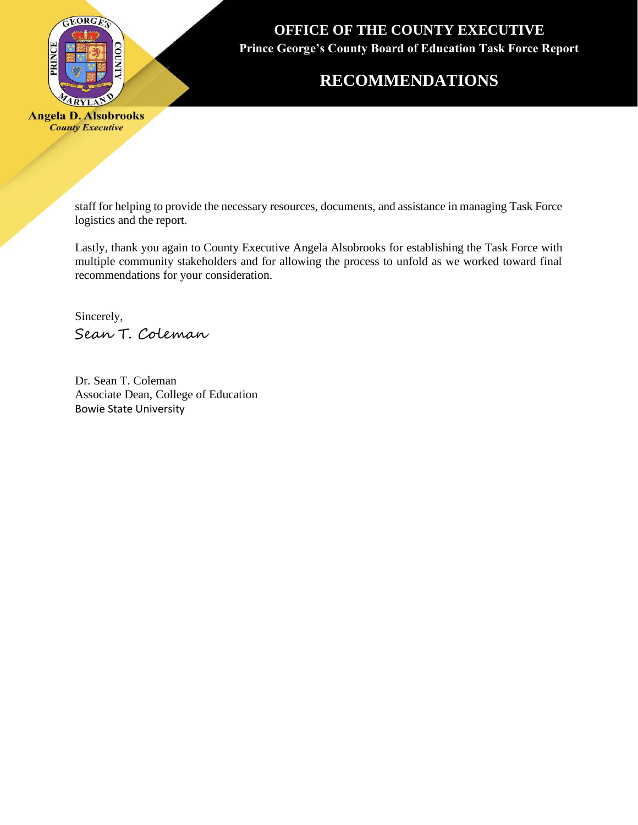

## **RECOMMENDATIONS**

**Angela D. Alsobrooks County Executive** 

> staff for helping to provide the necessary resources, documents, and assistance in managing Task Force logistics and the report.

> Lastly, thank you again to County Executive Angela Alsobrooks for establishing the Task Force with multiple community stakeholders and for allowing the process to unfold as we worked toward final recommendations for your consideration.

Sincerely, Sean T. Coleman

Dr. Sean T. Coleman Associate Dean, College of Education Bowie State University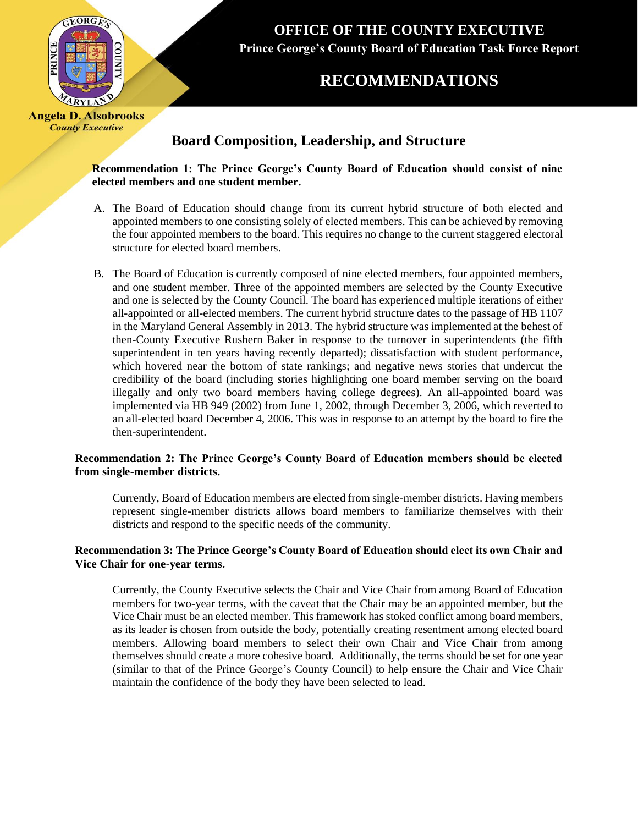

## **RECOMMENDATIONS**

### **Board Composition, Leadership, and Structure**

 **Recommendation 1: The Prince George's County Board of Education should consist of nine elected members and one student member.**

- A. The Board of Education should change from its current hybrid structure of both elected and appointed members to one consisting solely of elected members. This can be achieved by removing the four appointed members to the board. This requires no change to the current staggered electoral structure for elected board members.
- B. The Board of Education is currently composed of nine elected members, four appointed members, and one student member. Three of the appointed members are selected by the County Executive and one is selected by the County Council. The board has experienced multiple iterations of either all-appointed or all-elected members. The current hybrid structure dates to the passage of HB 1107 in the Maryland General Assembly in 2013. The hybrid structure was implemented at the behest of then-County Executive Rushern Baker in response to the turnover in superintendents (the fifth superintendent in ten years having recently departed); dissatisfaction with student performance, which hovered near the bottom of state rankings; and negative news stories that undercut the credibility of the board (including stories highlighting one board member serving on the board illegally and only two board members having college degrees). An all-appointed board was implemented via HB 949 (2002) from June 1, 2002, through December 3, 2006, which reverted to an all-elected board December 4, 2006. This was in response to an attempt by the board to fire the then-superintendent.

#### **Recommendation 2: The Prince George's County Board of Education members should be elected from single-member districts.**

Currently, Board of Education members are elected from single-member districts. Having members represent single-member districts allows board members to familiarize themselves with their districts and respond to the specific needs of the community.

#### **Recommendation 3: The Prince George's County Board of Education should elect its own Chair and Vice Chair for one-year terms.**

Currently, the County Executive selects the Chair and Vice Chair from among Board of Education members for two-year terms, with the caveat that the Chair may be an appointed member, but the Vice Chair must be an elected member. This framework has stoked conflict among board members, as its leader is chosen from outside the body, potentially creating resentment among elected board members. Allowing board members to select their own Chair and Vice Chair from among themselves should create a more cohesive board. Additionally, the terms should be set for one year (similar to that of the Prince George's County Council) to help ensure the Chair and Vice Chair maintain the confidence of the body they have been selected to lead.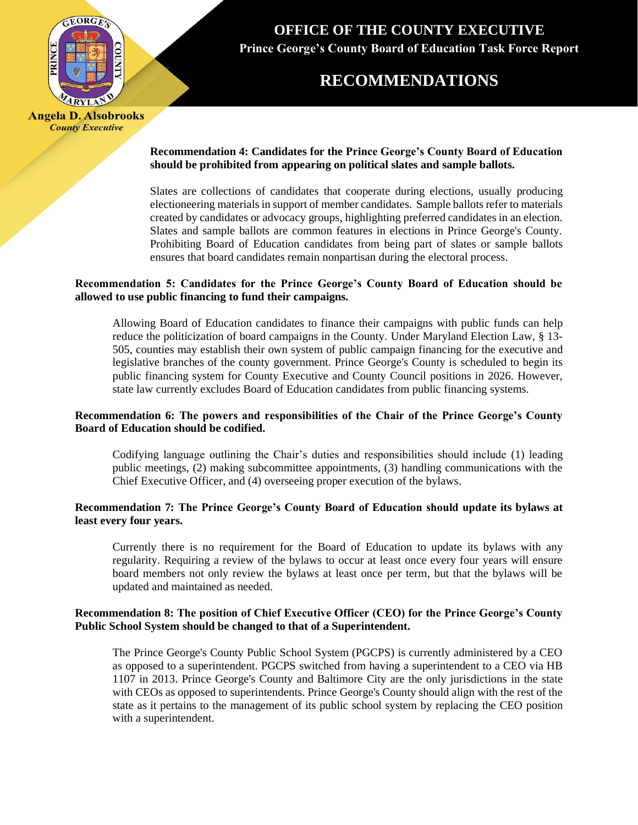

### **RECOMMENDATIONS**

**Angela D. Alsobrooks County Executive** 

#### **Recommendation 4: Candidates for the Prince George's County Board of Education should be prohibited from appearing on political slates and sample ballots.**

Slates are collections of candidates that cooperate during elections, usually producing electioneering materialsin support of member candidates. Sample ballots refer to materials created by candidates or advocacy groups, highlighting preferred candidates in an election. Slates and sample ballots are common features in elections in Prince George's County. Prohibiting Board of Education candidates from being part of slates or sample ballots ensures that board candidates remain nonpartisan during the electoral process.

#### **Recommendation 5: Candidates for the Prince George's County Board of Education should be allowed to use public financing to fund their campaigns.**

Allowing Board of Education candidates to finance their campaigns with public funds can help reduce the politicization of board campaigns in the County. Under Maryland Election Law, § 13- 505, counties may establish their own system of public campaign financing for the executive and legislative branches of the county government. Prince George's County is scheduled to begin its public financing system for County Executive and County Council positions in 2026. However, state law currently excludes Board of Education candidates from public financing systems.

#### **Recommendation 6: The powers and responsibilities of the Chair of the Prince George's County Board of Education should be codified.**

Codifying language outlining the Chair's duties and responsibilities should include (1) leading public meetings, (2) making subcommittee appointments, (3) handling communications with the Chief Executive Officer, and (4) overseeing proper execution of the bylaws.

#### **Recommendation 7: The Prince George's County Board of Education should update its bylaws at least every four years.**

Currently there is no requirement for the Board of Education to update its bylaws with any regularity. Requiring a review of the bylaws to occur at least once every four years will ensure board members not only review the bylaws at least once per term, but that the bylaws will be updated and maintained as needed.

#### **Recommendation 8: The position of Chief Executive Officer (CEO) for the Prince George's County Public School System should be changed to that of a Superintendent.**

The Prince George's County Public School System (PGCPS) is currently administered by a CEO as opposed to a superintendent. PGCPS switched from having a superintendent to a CEO via HB 1107 in 2013. Prince George's County and Baltimore City are the only jurisdictions in the state with CEOs as opposed to superintendents. Prince George's County should align with the rest of the state as it pertains to the management of its public school system by replacing the CEO position with a superintendent.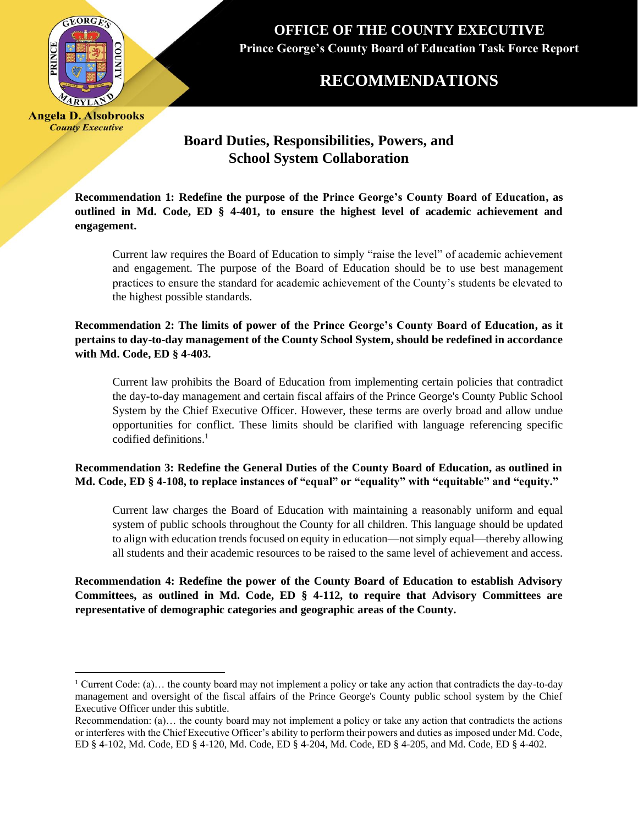

### **RECOMMENDATIONS**

**Angela D. Alsobrooks County Executive** 

### **Board Duties, Responsibilities, Powers, and School System Collaboration**

**Recommendation 1: Redefine the purpose of the Prince George's County Board of Education, as outlined in Md. Code, ED § 4-401, to ensure the highest level of academic achievement and engagement.**

Current law requires the Board of Education to simply "raise the level" of academic achievement and engagement. The purpose of the Board of Education should be to use best management practices to ensure the standard for academic achievement of the County's students be elevated to the highest possible standards.

**Recommendation 2: The limits of power of the Prince George's County Board of Education, as it pertains to day-to-day management of the County School System, should be redefined in accordance with Md. Code, ED § 4-403.**

Current law prohibits the Board of Education from implementing certain policies that contradict the day-to-day management and certain fiscal affairs of the Prince George's County Public School System by the Chief Executive Officer. However, these terms are overly broad and allow undue opportunities for conflict. These limits should be clarified with language referencing specific codified definitions. $<sup>1</sup>$ </sup>

**Recommendation 3: Redefine the General Duties of the County Board of Education, as outlined in Md. Code, ED § 4-108, to replace instances of "equal" or "equality" with "equitable" and "equity."**

Current law charges the Board of Education with maintaining a reasonably uniform and equal system of public schools throughout the County for all children. This language should be updated to align with education trends focused on equity in education—not simply equal—thereby allowing all students and their academic resources to be raised to the same level of achievement and access.

**Recommendation 4: Redefine the power of the County Board of Education to establish Advisory Committees, as outlined in Md. Code, ED § 4-112, to require that Advisory Committees are representative of demographic categories and geographic areas of the County.** 

<sup>&</sup>lt;sup>1</sup> Current Code: (a)... the county board may not implement a policy or take any action that contradicts the day-to-day management and oversight of the fiscal affairs of the Prince George's County public school system by the Chief Executive Officer under this subtitle.

Recommendation: (a)… the county board may not implement a policy or take any action that contradicts the actions or interferes with the Chief Executive Officer's ability to perform their powers and duties as imposed under Md. Code, ED § 4-102, Md. Code, ED § 4-120, Md. Code, ED § 4-204, Md. Code, ED § 4-205, and Md. Code, ED § 4-402.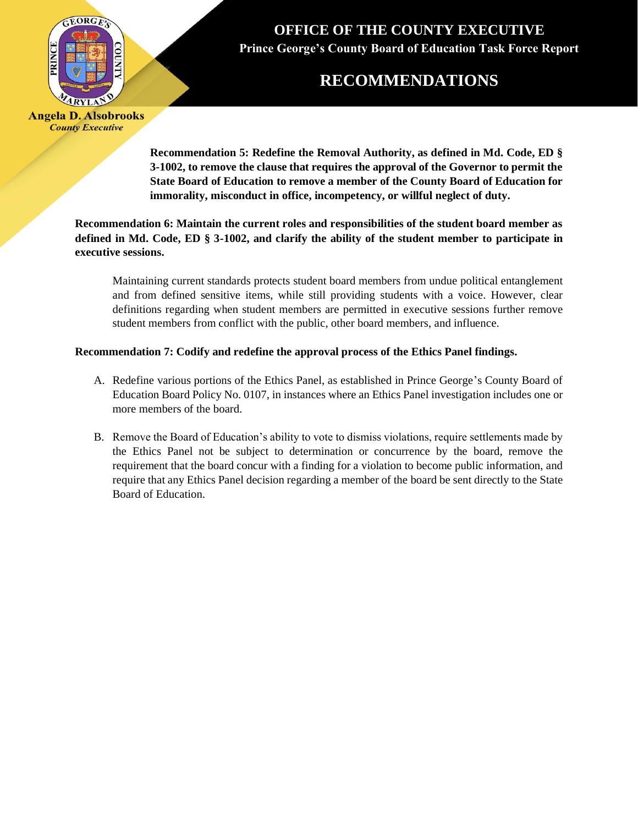

# **RECOMMENDATIONS**

**Angela D. Alsobrooks County Executive** 

> **Recommendation 5: Redefine the Removal Authority, as defined in Md. Code, ED § 3-1002, to remove the clause that requires the approval of the Governor to permit the State Board of Education to remove a member of the County Board of Education for immorality, misconduct in office, incompetency, or willful neglect of duty.**

**Recommendation 6: Maintain the current roles and responsibilities of the student board member as defined in Md. Code, ED § 3-1002, and clarify the ability of the student member to participate in executive sessions.** 

Maintaining current standards protects student board members from undue political entanglement and from defined sensitive items, while still providing students with a voice. However, clear definitions regarding when student members are permitted in executive sessions further remove student members from conflict with the public, other board members, and influence.

#### **Recommendation 7: Codify and redefine the approval process of the Ethics Panel findings.**

- A. Redefine various portions of the Ethics Panel, as established in Prince George's County Board of Education Board Policy No. 0107, in instances where an Ethics Panel investigation includes one or more members of the board.
- B. Remove the Board of Education's ability to vote to dismiss violations, require settlements made by the Ethics Panel not be subject to determination or concurrence by the board, remove the requirement that the board concur with a finding for a violation to become public information, and require that any Ethics Panel decision regarding a member of the board be sent directly to the State Board of Education.